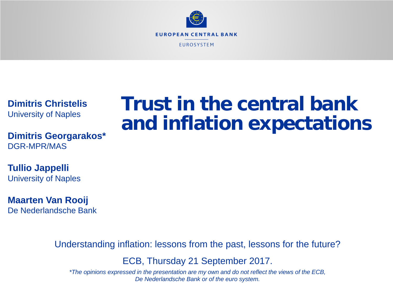

**Dimitris Christelis** University of Naples

**Dimitris Georgarakos\*** DGR-MPR/MAS

**Tullio Jappelli** University of Naples

**Maarten Van Rooij** De Nederlandsche Bank

Understanding inflation: lessons from the past, lessons for the future?

ECB, Thursday 21 September 2017.

*\*The opinions expressed in the presentation are my own and do not reflect the views of the ECB, De Nederlandsche Bank or of the euro system.*

# **Trust in the central bank and inflation expectations**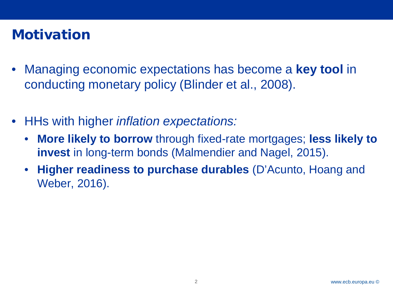## **Motivation**

- Managing economic expectations has become a **key tool** in conducting monetary policy (Blinder et al., 2008).
- HHs with higher *inflation expectations:*
	- **More likely to borrow** through fixed-rate mortgages; **less likely to invest** in long-term bonds (Malmendier and Nagel, 2015).
	- **Higher readiness to purchase durables** (D'Acunto, Hoang and Weber, 2016).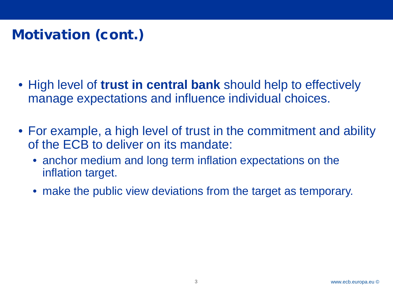## Motivation (cont.)

- High level of **trust in central bank** should help to effectively manage expectations and influence individual choices.
- For example, a high level of trust in the commitment and ability of the ECB to deliver on its mandate:
	- anchor medium and long term inflation expectations on the inflation target.
	- make the public view deviations from the target as temporary.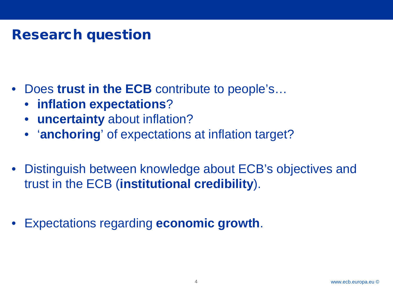### Research question

- Does trust in the **ECB** contribute to people's...
	- **inflation expectations**?
	- **uncertainty** about inflation?
	- '**anchoring**' of expectations at inflation target?
- Distinguish between knowledge about ECB's objectives and trust in the ECB (**institutional credibility**).
- Expectations regarding **economic growth**.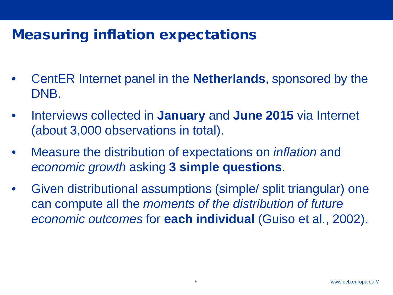## Measuring inflation expectations

- CentER Internet panel in the **Netherlands**, sponsored by the DNB.
- Interviews collected in **January** and **June 2015** via Internet (about 3,000 observations in total).
- Measure the distribution of expectations on *inflation* and *economic growth* asking **3 simple questions**.
- Given distributional assumptions (simple/ split triangular) one can compute all the *moments of the distribution of future economic outcomes* for **each individual** (Guiso et al., 2002).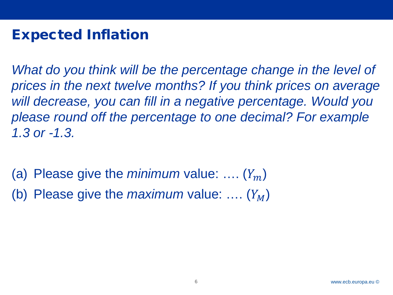## Expected Inflation

What do you think will be the percentage change in the level of *prices in the next twelve months? If you think prices on average will decrease, you can fill in a negative percentage. Would you please round off the percentage to one decimal? For example 1.3 or -1.3.*

(a) Please give the *minimum* value:  $\dots (Y_m)$ 

(b) Please give the *maximum* value: ....  $(Y_M)$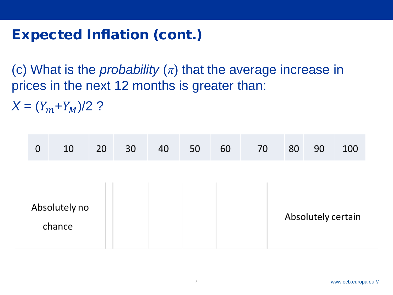## Expected Inflation (cont.)

(c) What is the *probability*  $(\pi)$  that the average increase in prices in the next 12 months is greater than:

 $X = (Y_m + Y_M)/2$  ?

| 0 | 10                      | 20 | 30 | 40 | 50 | 60 | 70 | 80 | 90                 | 100 |
|---|-------------------------|----|----|----|----|----|----|----|--------------------|-----|
|   |                         |    |    |    |    |    |    |    |                    |     |
|   | Absolutely no<br>chance |    |    |    |    |    |    |    | Absolutely certain |     |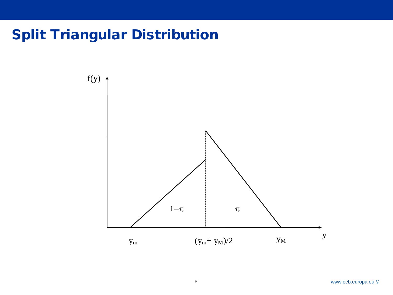## Split Triangular Distribution

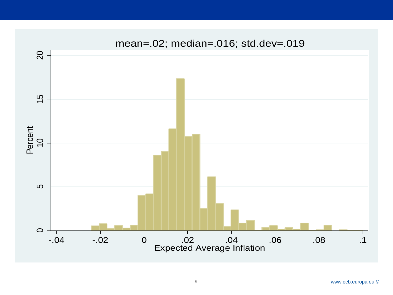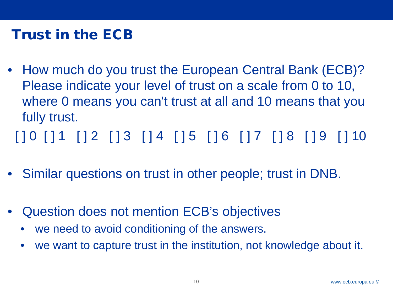## Trust in the ECB

• How much do you trust the European Central Bank (ECB)? Please indicate your level of trust on a scale from 0 to 10, where 0 means you can't trust at all and 10 means that you fully trust.

[ ] 0 [ ] 1 [ ] 2 [ ] 3 [ ] 4 [ ] 5 [ ] 6 [ ] 7 [ ] 8 [ ] 9 [ ] 10

- Similar questions on trust in other people; trust in DNB.
- Question does not mention ECB's objectives
	- we need to avoid conditioning of the answers.
	- we want to capture trust in the institution, not knowledge about it.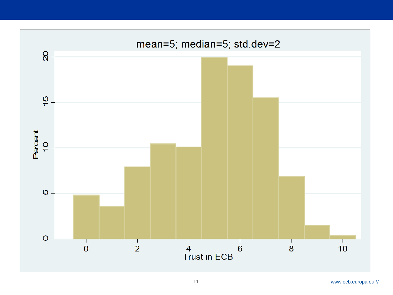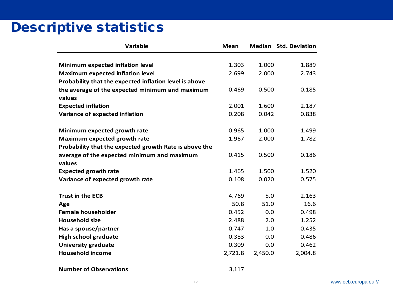### Descriptive statistics

| Variable                                               | <b>Mean</b> |         | <b>Median Std. Deviation</b> |
|--------------------------------------------------------|-------------|---------|------------------------------|
|                                                        |             |         |                              |
| Minimum expected inflation level                       | 1.303       | 1.000   | 1.889                        |
| <b>Maximum expected inflation level</b>                | 2.699       | 2.000   | 2.743                        |
| Probability that the expected inflation level is above |             |         |                              |
| the average of the expected minimum and maximum        | 0.469       | 0.500   | 0.185                        |
| values                                                 |             |         |                              |
| <b>Expected inflation</b>                              | 2.001       | 1.600   | 2.187                        |
| Variance of expected inflation                         | 0.208       | 0.042   | 0.838                        |
|                                                        |             |         |                              |
| Minimum expected growth rate                           | 0.965       | 1.000   | 1.499                        |
| Maximum expected growth rate                           | 1.967       | 2.000   | 1.782                        |
| Probability that the expected growth Rate is above the |             |         |                              |
| average of the expected minimum and maximum            | 0.415       | 0.500   | 0.186                        |
| values                                                 |             |         |                              |
| <b>Expected growth rate</b>                            | 1.465       | 1.500   | 1.520                        |
| Variance of expected growth rate                       | 0.108       | 0.020   | 0.575                        |
|                                                        |             |         |                              |
| <b>Trust in the ECB</b>                                | 4.769       | 5.0     | 2.163                        |
| Age                                                    | 50.8        | 51.0    | 16.6                         |
| <b>Female householder</b>                              | 0.452       | 0.0     | 0.498                        |
| <b>Household size</b>                                  | 2.488       | 2.0     | 1.252                        |
| Has a spouse/partner                                   | 0.747       | 1.0     | 0.435                        |
| <b>High school graduate</b>                            | 0.383       | 0.0     | 0.486                        |
| <b>University graduate</b>                             | 0.309       | 0.0     | 0.462                        |
| <b>Household income</b>                                | 2,721.8     | 2,450.0 | 2,004.8                      |
| <b>Number of Observations</b>                          | 3,117       |         |                              |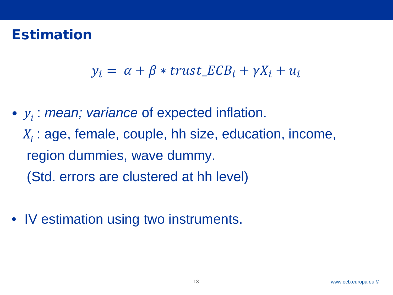### Estimation

$$
y_i = \alpha + \beta * trust\_ECB_i + \gamma X_i + u_i
$$

- *yi* : *mean; variance* of expected inflation. *X<sub>i</sub>* : age, female, couple, hh size, education, income, region dummies, wave dummy. (Std. errors are clustered at hh level)
- IV estimation using two instruments.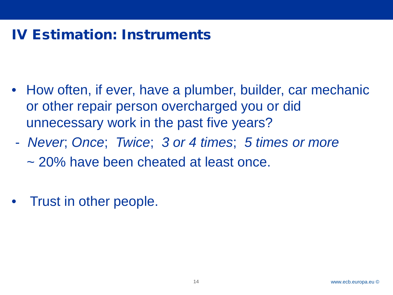## IV Estimation: Instruments

- How often, if ever, have a plumber, builder, car mechanic or other repair person overcharged you or did unnecessary work in the past five years?
- *Never*; *Once*; *Twice*; *3 or 4 times*; *5 times or more* ~ 20% have been cheated at least once.
- Trust in other people.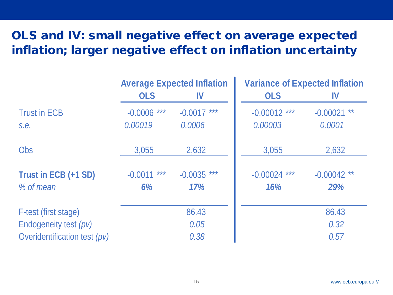#### OLS and IV: small negative effect on average expected inflation; larger negative effect on inflation uncertainty

|                              |                    | <b>Average Expected Inflation</b> | <b>Variance of Expected Inflation</b> |               |  |  |
|------------------------------|--------------------|-----------------------------------|---------------------------------------|---------------|--|--|
|                              | <b>OLS</b>         | IV                                | <b>OLS</b>                            | IV            |  |  |
| <b>Trust in ECB</b>          | $-0.0006$ ***      | $-0.0017$ ***                     | $-0.00012$ ***                        | $-0.00021$ ** |  |  |
| s.e.                         | 0.00019            | 0.0006                            | 0.00003                               | 0.0001        |  |  |
| <b>Obs</b>                   | 3,055              | 2,632                             | 3,055                                 | 2,632         |  |  |
| Trust in ECB (+1 SD)         | $***$<br>$-0.0011$ | $-0.0035$ ***                     | $-0.00024$ ***                        | $-0.00042$ ** |  |  |
| $%$ of mean                  | 6%                 | 17%                               | 16%                                   | 29%           |  |  |
| F-test (first stage)         |                    | 86.43                             |                                       | 86.43         |  |  |
| Endogeneity test (pv)        | 0.05               |                                   |                                       | 0.32          |  |  |
| Overidentification test (pv) | 0.38               |                                   | 0.57                                  |               |  |  |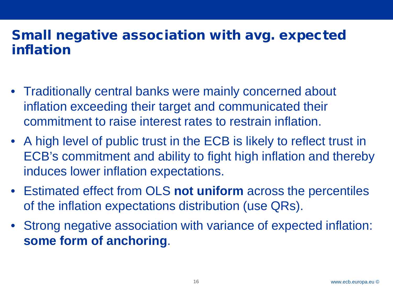#### Small negative association with avg. expected inflation

- Traditionally central banks were mainly concerned about inflation exceeding their target and communicated their commitment to raise interest rates to restrain inflation.
- A high level of public trust in the ECB is likely to reflect trust in ECB's commitment and ability to fight high inflation and thereby induces lower inflation expectations.
- Estimated effect from OLS **not uniform** across the percentiles of the inflation expectations distribution (use QRs).
- Strong negative association with variance of expected inflation: **some form of anchoring**.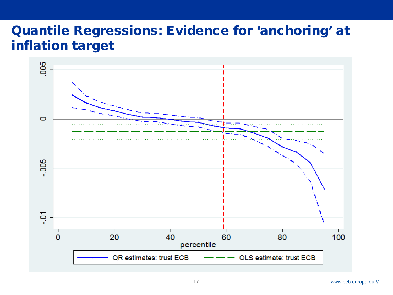#### Quantile Regressions: Evidence for 'anchoring' at inflation target

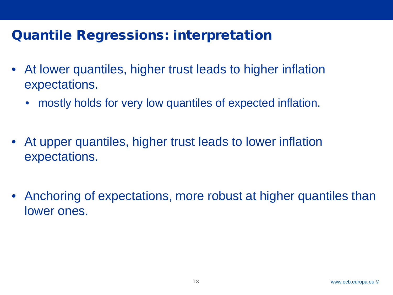### Quantile Regressions: interpretation

- At lower quantiles, higher trust leads to higher inflation expectations.
	- mostly holds for very low quantiles of expected inflation.
- At upper quantiles, higher trust leads to lower inflation expectations.
- Anchoring of expectations, more robust at higher quantiles than lower ones.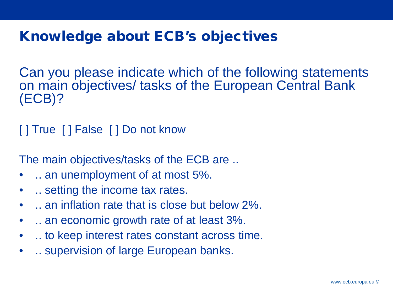## Knowledge about ECB's objectives

Can you please indicate which of the following statements on main objectives/ tasks of the European Central Bank (ECB)?

[ ] True [ ] False [ ] Do not know

The main objectives/tasks of the ECB are ...

- .. an unemployment of at most 5%.
- .. setting the income tax rates.
- ... an inflation rate that is close but below 2%.
- .. an economic growth rate of at least 3%.
- ... to keep interest rates constant across time.
- .. supervision of large European banks.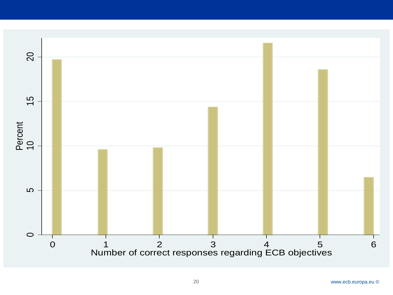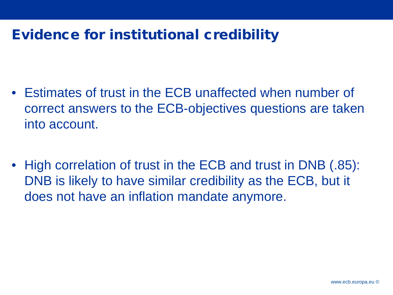## Evidence for institutional credibility

- Estimates of trust in the ECB unaffected when number of correct answers to the ECB-objectives questions are taken into account.
- High correlation of trust in the ECB and trust in DNB (.85): DNB is likely to have similar credibility as the ECB, but it does not have an inflation mandate anymore.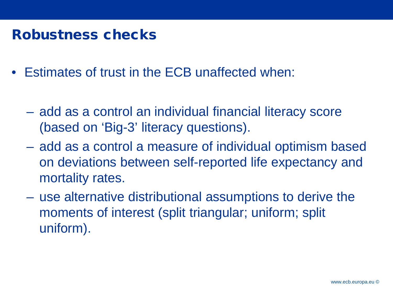#### Robustness checks

- Estimates of trust in the ECB unaffected when:
	- add as a control an individual financial literacy score (based on 'Big-3' literacy questions).
	- add as a control a measure of individual optimism based on deviations between self-reported life expectancy and mortality rates.
	- use alternative distributional assumptions to derive the moments of interest (split triangular; uniform; split uniform).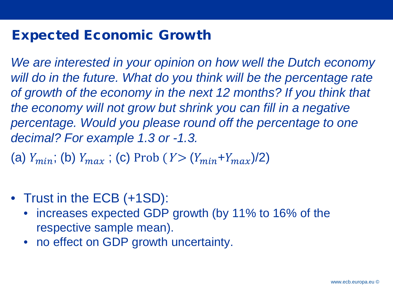#### Expected Economic Growth

*We are interested in your opinion on how well the Dutch economy*  will do in the future. What do you think will be the percentage rate *of growth of the economy in the next 12 months? If you think that the economy will not grow but shrink you can fill in a negative percentage. Would you please round off the percentage to one decimal? For example 1.3 or -1.3.*

(a)  $Y_{min}$ ; (b)  $Y_{max}$ ; (c) Prob ( $Y > (Y_{min} + Y_{max})/2$ )

- Trust in the ECB (+1SD):
	- increases expected GDP growth (by 11% to 16% of the respective sample mean).
	- no effect on GDP growth uncertainty.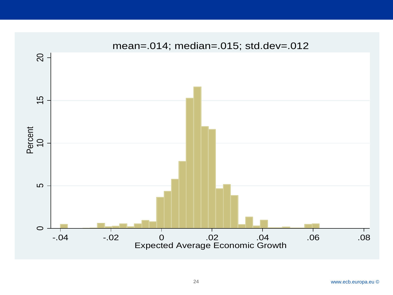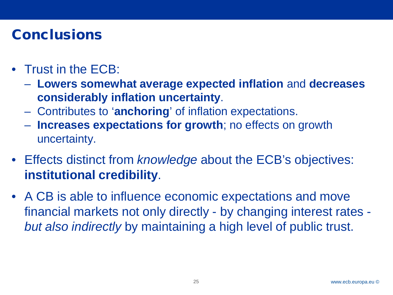## **Conclusions**

- Trust in the ECB:
	- **Lowers somewhat average expected inflation** and **decreases considerably inflation uncertainty**.
	- Contributes to '**anchoring**' of inflation expectations.
	- **Increases expectations for growth**; no effects on growth uncertainty.
- Effects distinct from *knowledge* about the ECB's objectives: **institutional credibility**.
- A CB is able to influence economic expectations and move financial markets not only directly - by changing interest rates *but also indirectly* by maintaining a high level of public trust.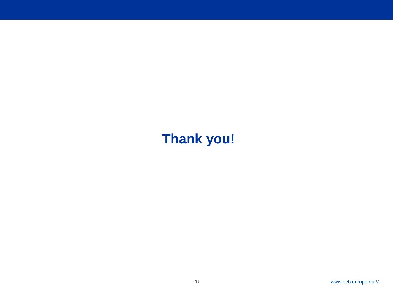## **Thank you!**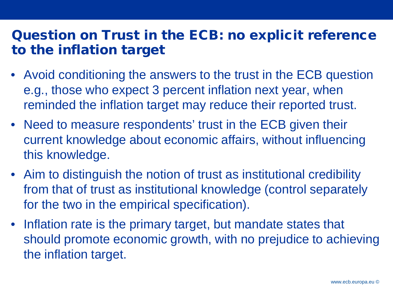#### Question on Trust in the ECB: no explicit reference to the inflation target

- Avoid conditioning the answers to the trust in the ECB question e.g., those who expect 3 percent inflation next year, when reminded the inflation target may reduce their reported trust.
- Need to measure respondents' trust in the ECB given their current knowledge about economic affairs, without influencing this knowledge.
- Aim to distinguish the notion of trust as institutional credibility from that of trust as institutional knowledge (control separately for the two in the empirical specification).
- Inflation rate is the primary target, but mandate states that should promote economic growth, with no prejudice to achieving the inflation target.